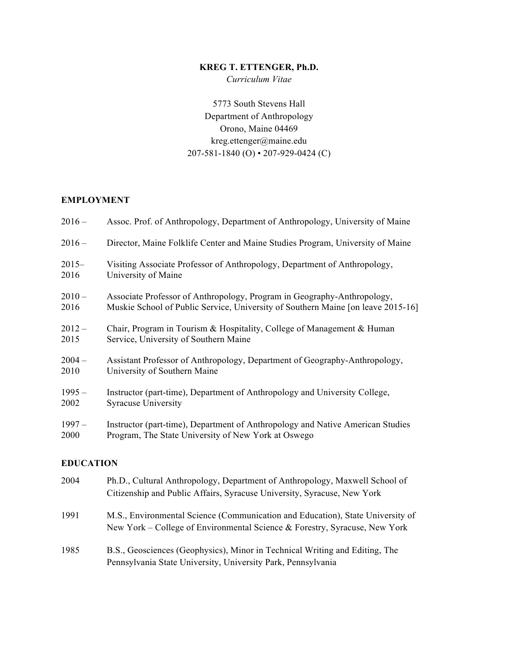# **KREG T. ETTENGER, Ph.D.**

*Curriculum Vitae*

5773 South Stevens Hall Department of Anthropology Orono, Maine 04469 kreg.ettenger@maine.edu 207-581-1840 (O) • 207-929-0424 (C)

# **EMPLOYMENT**

| $2016 -$ | Assoc. Prof. of Anthropology, Department of Anthropology, University of Maine    |
|----------|----------------------------------------------------------------------------------|
| $2016 -$ | Director, Maine Folklife Center and Maine Studies Program, University of Maine   |
| $2015-$  | Visiting Associate Professor of Anthropology, Department of Anthropology,        |
| 2016     | University of Maine                                                              |
| $2010 -$ | Associate Professor of Anthropology, Program in Geography-Anthropology,          |
| 2016     | Muskie School of Public Service, University of Southern Maine [on leave 2015-16] |
| $2012 -$ | Chair, Program in Tourism & Hospitality, College of Management & Human           |
| 2015     | Service, University of Southern Maine                                            |
| $2004 -$ | Assistant Professor of Anthropology, Department of Geography-Anthropology,       |
| 2010     | University of Southern Maine                                                     |
| $1995 -$ | Instructor (part-time), Department of Anthropology and University College,       |
| 2002     | <b>Syracuse University</b>                                                       |
| $1997 -$ | Instructor (part-time), Department of Anthropology and Native American Studies   |
| 2000     | Program, The State University of New York at Oswego                              |

# **EDUCATION**

| 2004 | Ph.D., Cultural Anthropology, Department of Anthropology, Maxwell School of<br>Citizenship and Public Affairs, Syracuse University, Syracuse, New York       |
|------|--------------------------------------------------------------------------------------------------------------------------------------------------------------|
| 1991 | M.S., Environmental Science (Communication and Education), State University of<br>New York – College of Environmental Science & Forestry, Syracuse, New York |
| 1985 | B.S., Geosciences (Geophysics), Minor in Technical Writing and Editing, The<br>Pennsylvania State University, University Park, Pennsylvania                  |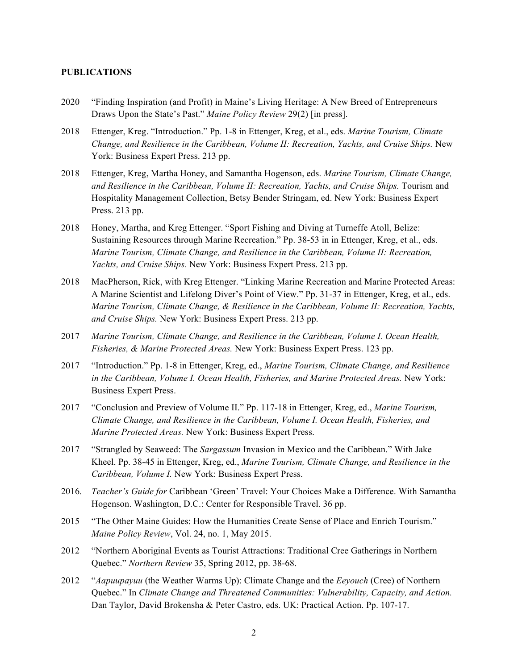### **PUBLICATIONS**

- 2020 "Finding Inspiration (and Profit) in Maine's Living Heritage: A New Breed of Entrepreneurs Draws Upon the State's Past." *Maine Policy Review* 29(2) [in press].
- 2018 Ettenger, Kreg. "Introduction." Pp. 1-8 in Ettenger, Kreg, et al., eds. *Marine Tourism, Climate Change, and Resilience in the Caribbean, Volume II: Recreation, Yachts, and Cruise Ships.* New York: Business Expert Press. 213 pp.
- 2018 Ettenger, Kreg, Martha Honey, and Samantha Hogenson, eds. *Marine Tourism, Climate Change, and Resilience in the Caribbean, Volume II: Recreation, Yachts, and Cruise Ships.* Tourism and Hospitality Management Collection, Betsy Bender Stringam, ed. New York: Business Expert Press. 213 pp.
- 2018 Honey, Martha, and Kreg Ettenger. "Sport Fishing and Diving at Turneffe Atoll, Belize: Sustaining Resources through Marine Recreation." Pp. 38-53 in in Ettenger, Kreg, et al., eds. *Marine Tourism, Climate Change, and Resilience in the Caribbean, Volume II: Recreation, Yachts, and Cruise Ships.* New York: Business Expert Press. 213 pp.
- 2018 MacPherson, Rick, with Kreg Ettenger. "Linking Marine Recreation and Marine Protected Areas: A Marine Scientist and Lifelong Diver's Point of View." Pp. 31-37 in Ettenger, Kreg, et al., eds. *Marine Tourism, Climate Change, & Resilience in the Caribbean, Volume II: Recreation, Yachts, and Cruise Ships.* New York: Business Expert Press. 213 pp.
- 2017 *Marine Tourism, Climate Change, and Resilience in the Caribbean, Volume I. Ocean Health, Fisheries, & Marine Protected Areas.* New York: Business Expert Press. 123 pp.
- 2017 "Introduction." Pp. 1-8 in Ettenger, Kreg, ed., *Marine Tourism, Climate Change, and Resilience in the Caribbean, Volume I. Ocean Health, Fisheries, and Marine Protected Areas.* New York: Business Expert Press.
- 2017 "Conclusion and Preview of Volume II." Pp. 117-18 in Ettenger, Kreg, ed., *Marine Tourism, Climate Change, and Resilience in the Caribbean, Volume I. Ocean Health, Fisheries, and Marine Protected Areas.* New York: Business Expert Press.
- 2017 "Strangled by Seaweed: The *Sargassum* Invasion in Mexico and the Caribbean." With Jake Kheel. Pp. 38-45 in Ettenger, Kreg, ed., *Marine Tourism, Climate Change, and Resilience in the Caribbean, Volume I.* New York: Business Expert Press.
- 2016. *Teacher's Guide for* Caribbean 'Green' Travel: Your Choices Make a Difference. With Samantha Hogenson. Washington, D.C.: Center for Responsible Travel. 36 pp.
- 2015 "The Other Maine Guides: How the Humanities Create Sense of Place and Enrich Tourism." *Maine Policy Review*, Vol. 24, no. 1, May 2015.
- 2012 "Northern Aboriginal Events as Tourist Attractions: Traditional Cree Gatherings in Northern Quebec." *Northern Review* 35, Spring 2012, pp. 38-68.
- 2012 "*Aapuupayuu* (the Weather Warms Up): Climate Change and the *Eeyouch* (Cree) of Northern Quebec." In *Climate Change and Threatened Communities: Vulnerability, Capacity, and Action.* Dan Taylor, David Brokensha & Peter Castro, eds. UK: Practical Action. Pp. 107-17.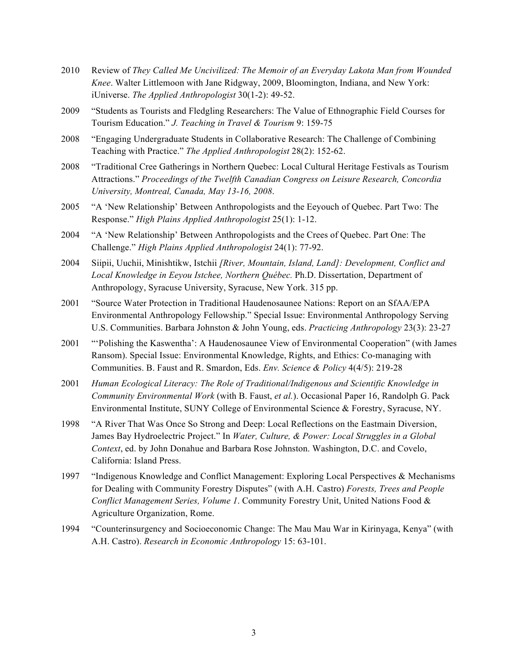- 2010 Review of *They Called Me Uncivilized: The Memoir of an Everyday Lakota Man from Wounded Knee*. Walter Littlemoon with Jane Ridgway, 2009, Bloomington, Indiana, and New York: iUniverse. *The Applied Anthropologist* 30(1-2): 49-52.
- 2009 "Students as Tourists and Fledgling Researchers: The Value of Ethnographic Field Courses for Tourism Education." *J. Teaching in Travel & Tourism* 9: 159-75
- 2008 "Engaging Undergraduate Students in Collaborative Research: The Challenge of Combining Teaching with Practice." *The Applied Anthropologist* 28(2): 152-62.
- 2008 "Traditional Cree Gatherings in Northern Quebec: Local Cultural Heritage Festivals as Tourism Attractions." *Proceedings of the Twelfth Canadian Congress on Leisure Research, Concordia University, Montreal, Canada, May 13-16, 2008*.
- 2005 "A 'New Relationship' Between Anthropologists and the Eeyouch of Quebec. Part Two: The Response." *High Plains Applied Anthropologist* 25(1): 1-12.
- 2004 "A 'New Relationship' Between Anthropologists and the Crees of Quebec. Part One: The Challenge." *High Plains Applied Anthropologist* 24(1): 77-92.
- 2004 Siipii, Uuchii, Minishtikw, Istchii *[River, Mountain, Island, Land]: Development, Conflict and Local Knowledge in Eeyou Istchee, Northern Québec.* Ph.D. Dissertation, Department of Anthropology, Syracuse University, Syracuse, New York. 315 pp.
- 2001 "Source Water Protection in Traditional Haudenosaunee Nations: Report on an SfAA/EPA Environmental Anthropology Fellowship." Special Issue: Environmental Anthropology Serving U.S. Communities. Barbara Johnston & John Young, eds. *Practicing Anthropology* 23(3): 23-27
- 2001 "'Polishing the Kaswentha': A Haudenosaunee View of Environmental Cooperation" (with James Ransom). Special Issue: Environmental Knowledge, Rights, and Ethics: Co-managing with Communities. B. Faust and R. Smardon, Eds. *Env. Science & Policy* 4(4/5): 219-28
- 2001 *Human Ecological Literacy: The Role of Traditional/Indigenous and Scientific Knowledge in Community Environmental Work* (with B. Faust, *et al.*). Occasional Paper 16, Randolph G. Pack Environmental Institute, SUNY College of Environmental Science & Forestry, Syracuse, NY.
- 1998 "A River That Was Once So Strong and Deep: Local Reflections on the Eastmain Diversion, James Bay Hydroelectric Project." In *Water, Culture, & Power: Local Struggles in a Global Context*, ed. by John Donahue and Barbara Rose Johnston. Washington, D.C. and Covelo, California: Island Press.
- 1997 "Indigenous Knowledge and Conflict Management: Exploring Local Perspectives & Mechanisms for Dealing with Community Forestry Disputes" (with A.H. Castro) *Forests, Trees and People Conflict Management Series, Volume 1*. Community Forestry Unit, United Nations Food & Agriculture Organization, Rome.
- 1994 "Counterinsurgency and Socioeconomic Change: The Mau Mau War in Kirinyaga, Kenya" (with A.H. Castro). *Research in Economic Anthropology* 15: 63-101.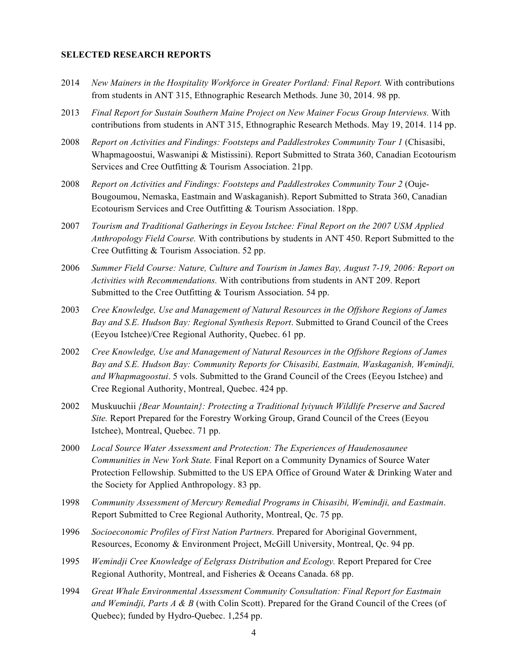#### **SELECTED RESEARCH REPORTS**

- 2014 *New Mainers in the Hospitality Workforce in Greater Portland: Final Report.* With contributions from students in ANT 315, Ethnographic Research Methods. June 30, 2014. 98 pp.
- 2013 *Final Report for Sustain Southern Maine Project on New Mainer Focus Group Interviews.* With contributions from students in ANT 315, Ethnographic Research Methods. May 19, 2014. 114 pp.
- 2008 *Report on Activities and Findings: Footsteps and Paddlestrokes Community Tour 1* (Chisasibi, Whapmagoostui, Waswanipi & Mistissini). Report Submitted to Strata 360, Canadian Ecotourism Services and Cree Outfitting & Tourism Association. 21pp.
- 2008 *Report on Activities and Findings: Footsteps and Paddlestrokes Community Tour 2* (Ouje-Bougoumou, Nemaska, Eastmain and Waskaganish). Report Submitted to Strata 360, Canadian Ecotourism Services and Cree Outfitting & Tourism Association. 18pp.
- 2007 *Tourism and Traditional Gatherings in Eeyou Istchee: Final Report on the 2007 USM Applied Anthropology Field Course.* With contributions by students in ANT 450. Report Submitted to the Cree Outfitting & Tourism Association. 52 pp.
- 2006 *Summer Field Course: Nature, Culture and Tourism in James Bay, August 7-19, 2006: Report on Activities with Recommendations.* With contributions from students in ANT 209. Report Submitted to the Cree Outfitting & Tourism Association. 54 pp.
- 2003 *Cree Knowledge, Use and Management of Natural Resources in the Offshore Regions of James Bay and S.E. Hudson Bay: Regional Synthesis Report*. Submitted to Grand Council of the Crees (Eeyou Istchee)/Cree Regional Authority, Quebec. 61 pp.
- 2002 *Cree Knowledge, Use and Management of Natural Resources in the Offshore Regions of James Bay and S.E. Hudson Bay: Community Reports for Chisasibi, Eastmain, Waskaganish, Wemindji, and Whapmagoostui*. 5 vols. Submitted to the Grand Council of the Crees (Eeyou Istchee) and Cree Regional Authority, Montreal, Quebec. 424 pp.
- 2002 Muskuuchii *{Bear Mountain}: Protecting a Traditional Iyiyuuch Wildlife Preserve and Sacred Site.* Report Prepared for the Forestry Working Group, Grand Council of the Crees (Eeyou Istchee), Montreal, Quebec. 71 pp.
- 2000 *Local Source Water Assessment and Protection: The Experiences of Haudenosaunee Communities in New York State.* Final Report on a Community Dynamics of Source Water Protection Fellowship. Submitted to the US EPA Office of Ground Water & Drinking Water and the Society for Applied Anthropology. 83 pp.
- 1998 *Community Assessment of Mercury Remedial Programs in Chisasibi, Wemindji, and Eastmain*. Report Submitted to Cree Regional Authority, Montreal, Qc. 75 pp.
- 1996 *Socioeconomic Profiles of First Nation Partners.* Prepared for Aboriginal Government, Resources, Economy & Environment Project, McGill University, Montreal, Qc. 94 pp.
- 1995 *Wemindji Cree Knowledge of Eelgrass Distribution and Ecology.* Report Prepared for Cree Regional Authority, Montreal, and Fisheries & Oceans Canada. 68 pp.
- 1994 *Great Whale Environmental Assessment Community Consultation: Final Report for Eastmain and Wemindji, Parts A & B* (with Colin Scott). Prepared for the Grand Council of the Crees (of Quebec); funded by Hydro-Quebec. 1,254 pp.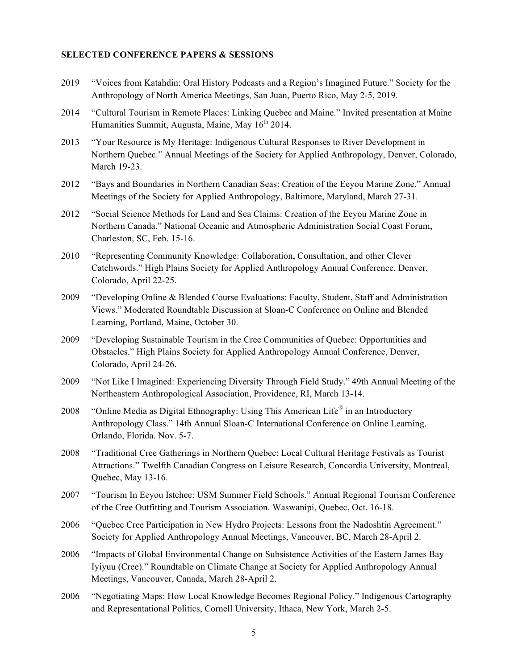#### **SELECTED CONFERENCE PAPERS & SESSIONS**

- 2019 "Voices from Katahdin: Oral History Podcasts and a Region's Imagined Future." Society for the Anthropology of North America Meetings, San Juan, Puerto Rico, May 2-5, 2019.
- 2014 "Cultural Tourism in Remote Places: Linking Quebec and Maine." Invited presentation at Maine Humanities Summit, Augusta, Maine, May  $16<sup>th</sup> 2014$ .
- 2013 "Your Resource is My Heritage: Indigenous Cultural Responses to River Development in Northern Quebec." Annual Meetings of the Society for Applied Anthropology, Denver, Colorado, March 19-23.
- 2012 "Bays and Boundaries in Northern Canadian Seas: Creation of the Eeyou Marine Zone." Annual Meetings of the Society for Applied Anthropology, Baltimore, Maryland, March 27-31.
- 2012 "Social Science Methods for Land and Sea Claims: Creation of the Eeyou Marine Zone in Northern Canada." National Oceanic and Atmospheric Administration Social Coast Forum, Charleston, SC, Feb. 15-16.
- 2010 "Representing Community Knowledge: Collaboration, Consultation, and other Clever Catchwords." High Plains Society for Applied Anthropology Annual Conference, Denver, Colorado, April 22-25.
- 2009 "Developing Online & Blended Course Evaluations: Faculty, Student, Staff and Administration Views." Moderated Roundtable Discussion at Sloan-C Conference on Online and Blended Learning, Portland, Maine, October 30.
- 2009 "Developing Sustainable Tourism in the Cree Communities of Quebec: Opportunities and Obstacles." High Plains Society for Applied Anthropology Annual Conference, Denver, Colorado, April 24-26.
- 2009 "Not Like I Imagined: Experiencing Diversity Through Field Study." 49th Annual Meeting of the Northeastern Anthropological Association, Providence, RI, March 13-14.
- 2008 "Online Media as Digital Ethnography: Using This American Life<sup>®</sup> in an Introductory Anthropology Class." 14th Annual Sloan-C International Conference on Online Learning. Orlando, Florida. Nov. 5-7.
- 2008 "Traditional Cree Gatherings in Northern Quebec: Local Cultural Heritage Festivals as Tourist Attractions." Twelfth Canadian Congress on Leisure Research, Concordia University, Montreal, Quebec, May 13-16.
- 2007 "Tourism In Eeyou Istchee: USM Summer Field Schools." Annual Regional Tourism Conference of the Cree Outfitting and Tourism Association. Waswanipi, Quebec, Oct. 16-18.
- 2006 "Quebec Cree Participation in New Hydro Projects: Lessons from the Nadoshtin Agreement." Society for Applied Anthropology Annual Meetings, Vancouver, BC, March 28-April 2.
- 2006 "Impacts of Global Environmental Change on Subsistence Activities of the Eastern James Bay Iyiyuu (Cree)." Roundtable on Climate Change at Society for Applied Anthropology Annual Meetings, Vancouver, Canada, March 28-April 2.
- 2006 "Negotiating Maps: How Local Knowledge Becomes Regional Policy." Indigenous Cartography and Representational Politics, Cornell University, Ithaca, New York, March 2-5.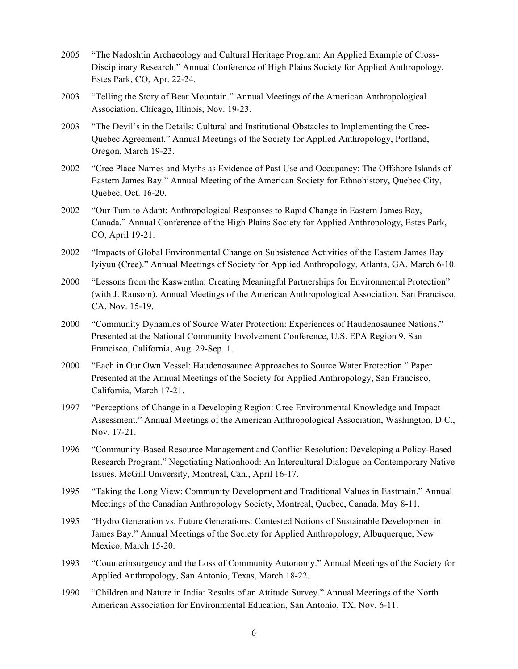- 2005 "The Nadoshtin Archaeology and Cultural Heritage Program: An Applied Example of Cross-Disciplinary Research." Annual Conference of High Plains Society for Applied Anthropology, Estes Park, CO, Apr. 22-24.
- 2003 "Telling the Story of Bear Mountain." Annual Meetings of the American Anthropological Association, Chicago, Illinois, Nov. 19-23.
- 2003 "The Devil's in the Details: Cultural and Institutional Obstacles to Implementing the Cree-Quebec Agreement." Annual Meetings of the Society for Applied Anthropology, Portland, Oregon, March 19-23.
- 2002 "Cree Place Names and Myths as Evidence of Past Use and Occupancy: The Offshore Islands of Eastern James Bay." Annual Meeting of the American Society for Ethnohistory, Quebec City, Quebec, Oct. 16-20.
- 2002 "Our Turn to Adapt: Anthropological Responses to Rapid Change in Eastern James Bay, Canada." Annual Conference of the High Plains Society for Applied Anthropology, Estes Park, CO, April 19-21.
- 2002 "Impacts of Global Environmental Change on Subsistence Activities of the Eastern James Bay Iyiyuu (Cree)." Annual Meetings of Society for Applied Anthropology, Atlanta, GA, March 6-10.
- 2000 "Lessons from the Kaswentha: Creating Meaningful Partnerships for Environmental Protection" (with J. Ransom). Annual Meetings of the American Anthropological Association, San Francisco, CA, Nov. 15-19.
- 2000 "Community Dynamics of Source Water Protection: Experiences of Haudenosaunee Nations." Presented at the National Community Involvement Conference, U.S. EPA Region 9, San Francisco, California, Aug. 29-Sep. 1.
- 2000 "Each in Our Own Vessel: Haudenosaunee Approaches to Source Water Protection." Paper Presented at the Annual Meetings of the Society for Applied Anthropology, San Francisco, California, March 17-21.
- 1997 "Perceptions of Change in a Developing Region: Cree Environmental Knowledge and Impact Assessment." Annual Meetings of the American Anthropological Association, Washington, D.C., Nov. 17-21.
- 1996 "Community-Based Resource Management and Conflict Resolution: Developing a Policy-Based Research Program." Negotiating Nationhood: An Intercultural Dialogue on Contemporary Native Issues. McGill University, Montreal, Can., April 16-17.
- 1995 "Taking the Long View: Community Development and Traditional Values in Eastmain." Annual Meetings of the Canadian Anthropology Society, Montreal, Quebec, Canada, May 8-11.
- 1995 "Hydro Generation vs. Future Generations: Contested Notions of Sustainable Development in James Bay." Annual Meetings of the Society for Applied Anthropology, Albuquerque, New Mexico, March 15-20.
- 1993 "Counterinsurgency and the Loss of Community Autonomy." Annual Meetings of the Society for Applied Anthropology, San Antonio, Texas, March 18-22.
- 1990 "Children and Nature in India: Results of an Attitude Survey." Annual Meetings of the North American Association for Environmental Education, San Antonio, TX, Nov. 6-11.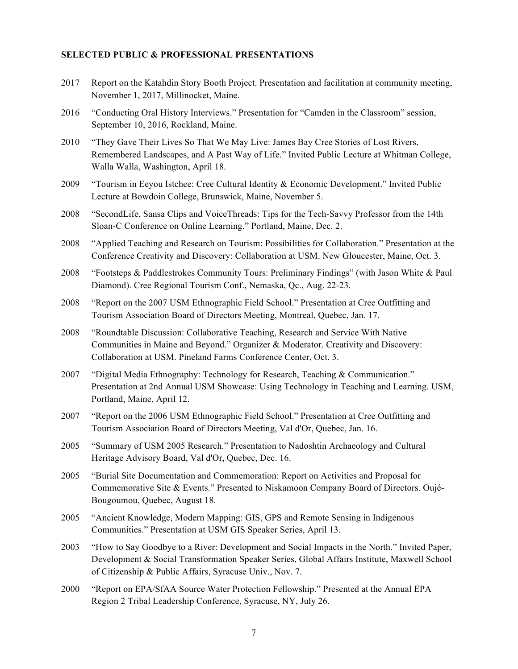## **SELECTED PUBLIC & PROFESSIONAL PRESENTATIONS**

- 2017 Report on the Katahdin Story Booth Project. Presentation and facilitation at community meeting, November 1, 2017, Millinocket, Maine.
- 2016 "Conducting Oral History Interviews." Presentation for "Camden in the Classroom" session, September 10, 2016, Rockland, Maine.
- 2010 "They Gave Their Lives So That We May Live: James Bay Cree Stories of Lost Rivers, Remembered Landscapes, and A Past Way of Life." Invited Public Lecture at Whitman College, Walla Walla, Washington, April 18.
- 2009 "Tourism in Eeyou Istchee: Cree Cultural Identity & Economic Development." Invited Public Lecture at Bowdoin College, Brunswick, Maine, November 5.
- 2008 "SecondLife, Sansa Clips and VoiceThreads: Tips for the Tech-Savvy Professor from the 14th Sloan-C Conference on Online Learning." Portland, Maine, Dec. 2.
- 2008 "Applied Teaching and Research on Tourism: Possibilities for Collaboration." Presentation at the Conference Creativity and Discovery: Collaboration at USM. New Gloucester, Maine, Oct. 3.
- 2008 "Footsteps & Paddlestrokes Community Tours: Preliminary Findings" (with Jason White & Paul Diamond). Cree Regional Tourism Conf., Nemaska, Qc., Aug. 22-23.
- 2008 "Report on the 2007 USM Ethnographic Field School." Presentation at Cree Outfitting and Tourism Association Board of Directors Meeting, Montreal, Quebec, Jan. 17.
- 2008 "Roundtable Discussion: Collaborative Teaching, Research and Service With Native Communities in Maine and Beyond." Organizer & Moderator. Creativity and Discovery: Collaboration at USM. Pineland Farms Conference Center, Oct. 3.
- 2007 "Digital Media Ethnography: Technology for Research, Teaching & Communication." Presentation at 2nd Annual USM Showcase: Using Technology in Teaching and Learning. USM, Portland, Maine, April 12.
- 2007 "Report on the 2006 USM Ethnographic Field School." Presentation at Cree Outfitting and Tourism Association Board of Directors Meeting, Val d'Or, Quebec, Jan. 16.
- 2005 "Summary of USM 2005 Research." Presentation to Nadoshtin Archaeology and Cultural Heritage Advisory Board, Val d'Or, Quebec, Dec. 16.
- 2005 "Burial Site Documentation and Commemoration: Report on Activities and Proposal for Commemorative Site & Events." Presented to Niskamoon Company Board of Directors. Oujé-Bougoumou, Quebec, August 18.
- 2005 "Ancient Knowledge, Modern Mapping: GIS, GPS and Remote Sensing in Indigenous Communities." Presentation at USM GIS Speaker Series, April 13.
- 2003 "How to Say Goodbye to a River: Development and Social Impacts in the North." Invited Paper, Development & Social Transformation Speaker Series, Global Affairs Institute, Maxwell School of Citizenship & Public Affairs, Syracuse Univ., Nov. 7.
- 2000 "Report on EPA/SfAA Source Water Protection Fellowship." Presented at the Annual EPA Region 2 Tribal Leadership Conference, Syracuse, NY, July 26.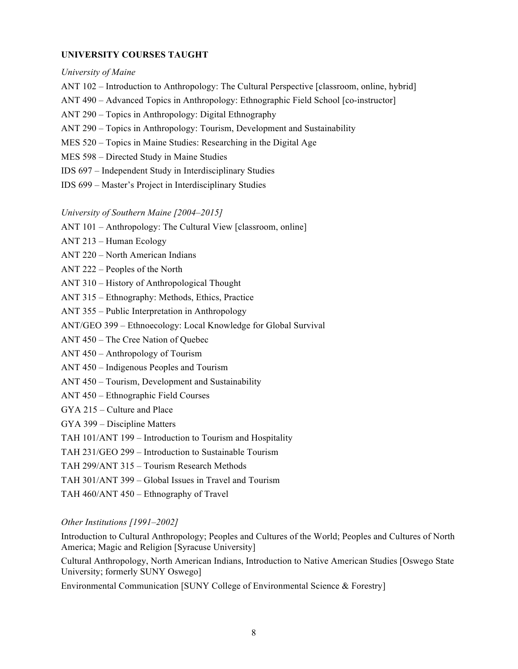## **UNIVERSITY COURSES TAUGHT**

#### *University of Maine*

- ANT 102 Introduction to Anthropology: The Cultural Perspective [classroom, online, hybrid]
- ANT 490 Advanced Topics in Anthropology: Ethnographic Field School [co-instructor]
- ANT 290 Topics in Anthropology: Digital Ethnography
- ANT 290 Topics in Anthropology: Tourism, Development and Sustainability
- MES 520 Topics in Maine Studies: Researching in the Digital Age
- MES 598 Directed Study in Maine Studies
- IDS 697 Independent Study in Interdisciplinary Studies
- IDS 699 Master's Project in Interdisciplinary Studies

### *University of Southern Maine [2004–2015]*

- ANT 101 Anthropology: The Cultural View [classroom, online]
- ANT 213 Human Ecology
- ANT 220 North American Indians
- ANT 222 Peoples of the North
- ANT 310 History of Anthropological Thought
- ANT 315 Ethnography: Methods, Ethics, Practice
- ANT 355 Public Interpretation in Anthropology
- ANT/GEO 399 Ethnoecology: Local Knowledge for Global Survival
- ANT 450 The Cree Nation of Quebec
- ANT 450 Anthropology of Tourism
- ANT 450 Indigenous Peoples and Tourism
- ANT 450 Tourism, Development and Sustainability
- ANT 450 Ethnographic Field Courses
- GYA 215 Culture and Place
- GYA 399 Discipline Matters
- TAH 101/ANT 199 Introduction to Tourism and Hospitality
- TAH 231/GEO 299 Introduction to Sustainable Tourism
- TAH 299/ANT 315 Tourism Research Methods
- TAH 301/ANT 399 Global Issues in Travel and Tourism
- TAH 460/ANT 450 Ethnography of Travel

### *Other Institutions [1991–2002]*

Introduction to Cultural Anthropology; Peoples and Cultures of the World; Peoples and Cultures of North America; Magic and Religion [Syracuse University]

Cultural Anthropology, North American Indians, Introduction to Native American Studies [Oswego State University; formerly SUNY Oswego]

Environmental Communication [SUNY College of Environmental Science & Forestry]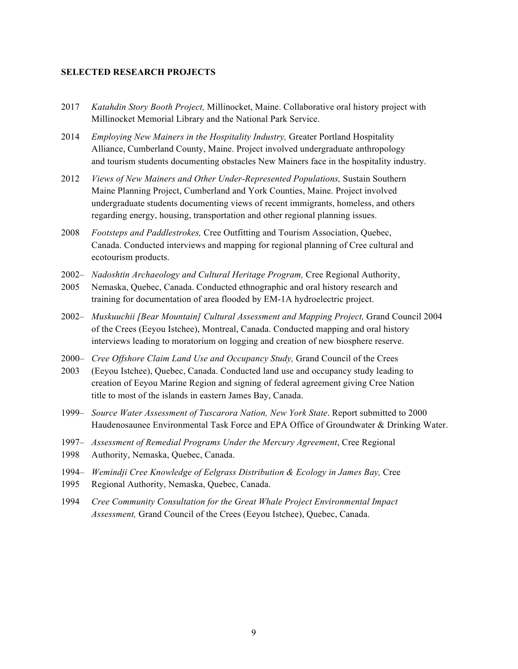## **SELECTED RESEARCH PROJECTS**

- 2017 *Katahdin Story Booth Project,* Millinocket, Maine. Collaborative oral history project with Millinocket Memorial Library and the National Park Service.
- 2014 *Employing New Mainers in the Hospitality Industry,* Greater Portland Hospitality Alliance, Cumberland County, Maine. Project involved undergraduate anthropology and tourism students documenting obstacles New Mainers face in the hospitality industry.
- 2012 *Views of New Mainers and Other Under-Represented Populations,* Sustain Southern Maine Planning Project, Cumberland and York Counties, Maine. Project involved undergraduate students documenting views of recent immigrants, homeless, and others regarding energy, housing, transportation and other regional planning issues.
- 2008 *Footsteps and Paddlestrokes,* Cree Outfitting and Tourism Association, Quebec, Canada. Conducted interviews and mapping for regional planning of Cree cultural and ecotourism products.
- 2002– *Nadoshtin Archaeology and Cultural Heritage Program,* Cree Regional Authority,
- 2005 Nemaska, Quebec, Canada. Conducted ethnographic and oral history research and training for documentation of area flooded by EM-1A hydroelectric project.
- 2002– *Muskuuchii [Bear Mountain] Cultural Assessment and Mapping Project,* Grand Council 2004 of the Crees (Eeyou Istchee), Montreal, Canada. Conducted mapping and oral history interviews leading to moratorium on logging and creation of new biosphere reserve.
- 2000– *Cree Offshore Claim Land Use and Occupancy Study,* Grand Council of the Crees
- 2003 (Eeyou Istchee), Quebec, Canada. Conducted land use and occupancy study leading to creation of Eeyou Marine Region and signing of federal agreement giving Cree Nation title to most of the islands in eastern James Bay, Canada.
- 1999– *Source Water Assessment of Tuscarora Nation, New York State*. Report submitted to 2000 Haudenosaunee Environmental Task Force and EPA Office of Groundwater & Drinking Water.
- 1997– *Assessment of Remedial Programs Under the Mercury Agreement*, Cree Regional
- 1998 Authority, Nemaska, Quebec, Canada.
- 1994– *Wemindji Cree Knowledge of Eelgrass Distribution & Ecology in James Bay,* Cree
- 1995 Regional Authority, Nemaska, Quebec, Canada.
- 1994 *Cree Community Consultation for the Great Whale Project Environmental Impact Assessment,* Grand Council of the Crees (Eeyou Istchee), Quebec, Canada.